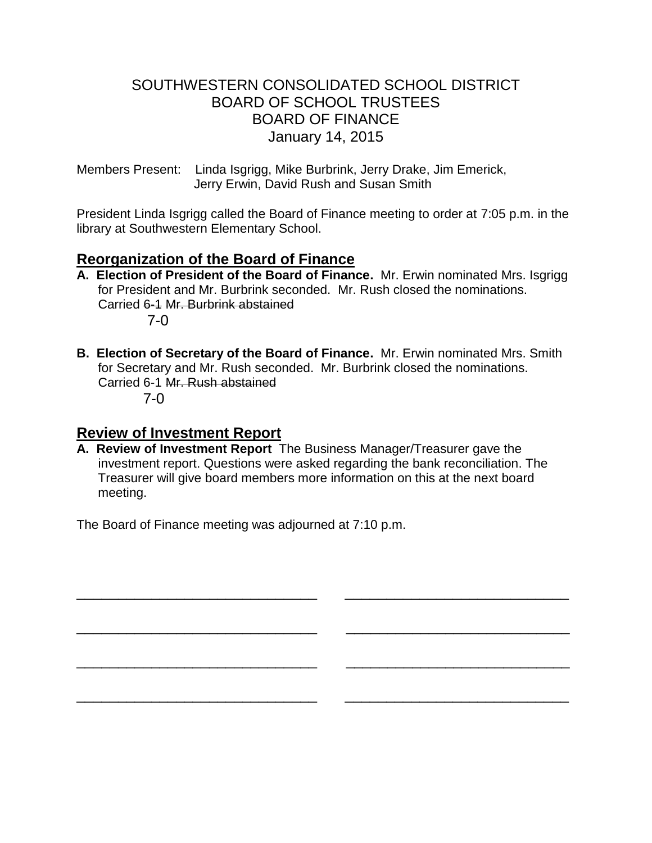# SOUTHWESTERN CONSOLIDATED SCHOOL DISTRICT BOARD OF SCHOOL TRUSTEES BOARD OF FINANCE January 14, 2015

Members Present: Linda Isgrigg, Mike Burbrink, Jerry Drake, Jim Emerick, Jerry Erwin, David Rush and Susan Smith

President Linda Isgrigg called the Board of Finance meeting to order at 7:05 p.m. in the library at Southwestern Elementary School.

# **Reorganization of the Board of Finance**

- **A. Election of President of the Board of Finance.** Mr. Erwin nominated Mrs. Isgrigg for President and Mr. Burbrink seconded. Mr. Rush closed the nominations. Carried 6-1 Mr. Burbrink abstained 7-0
- **B. Election of Secretary of the Board of Finance.** Mr. Erwin nominated Mrs. Smith for Secretary and Mr. Rush seconded. Mr. Burbrink closed the nominations. Carried 6-1 Mr. Rush abstained

7-0

## **Review of Investment Report**

**A. Review of Investment Report** The Business Manager/Treasurer gave the investment report. Questions were asked regarding the bank reconciliation. The Treasurer will give board members more information on this at the next board meeting.

\_\_\_\_\_\_\_\_\_\_\_\_\_\_\_\_\_\_\_\_\_\_\_\_\_\_\_\_\_ \_\_\_\_\_\_\_\_\_\_\_\_\_\_\_\_\_\_\_\_\_\_\_\_\_\_\_

\_\_\_\_\_\_\_\_\_\_\_\_\_\_\_\_\_\_\_\_\_\_\_\_\_\_\_\_\_ \_\_\_\_\_\_\_\_\_\_\_\_\_\_\_\_\_\_\_\_\_\_\_\_\_\_\_

\_\_\_\_\_\_\_\_\_\_\_\_\_\_\_\_\_\_\_\_\_\_\_\_\_\_\_\_\_ \_\_\_\_\_\_\_\_\_\_\_\_\_\_\_\_\_\_\_\_\_\_\_\_\_\_\_

\_\_\_\_\_\_\_\_\_\_\_\_\_\_\_\_\_\_\_\_\_\_\_\_\_\_\_\_\_ \_\_\_\_\_\_\_\_\_\_\_\_\_\_\_\_\_\_\_\_\_\_\_\_\_\_\_

The Board of Finance meeting was adjourned at 7:10 p.m.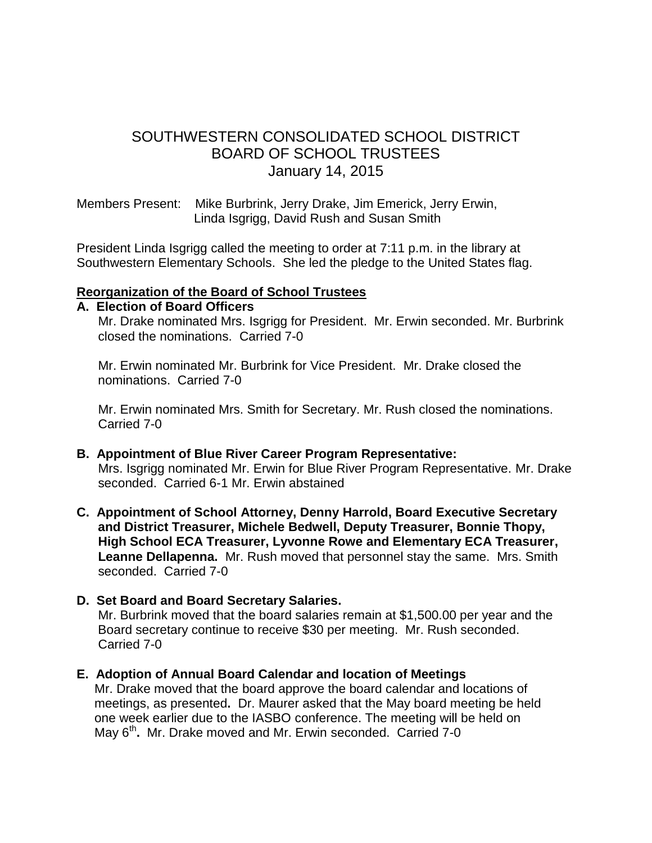# SOUTHWESTERN CONSOLIDATED SCHOOL DISTRICT BOARD OF SCHOOL TRUSTEES January 14, 2015

Members Present: Mike Burbrink, Jerry Drake, Jim Emerick, Jerry Erwin, Linda Isgrigg, David Rush and Susan Smith

President Linda Isgrigg called the meeting to order at 7:11 p.m. in the library at Southwestern Elementary Schools. She led the pledge to the United States flag.

#### **Reorganization of the Board of School Trustees**

#### **A. Election of Board Officers**

Mr. Drake nominated Mrs. Isgrigg for President. Mr. Erwin seconded. Mr. Burbrink closed the nominations. Carried 7-0

 Mr. Erwin nominated Mr. Burbrink for Vice President. Mr. Drake closed the nominations. Carried 7-0

 Mr. Erwin nominated Mrs. Smith for Secretary. Mr. Rush closed the nominations. Carried 7-0

- **B. Appointment of Blue River Career Program Representative:** Mrs. Isgrigg nominated Mr. Erwin for Blue River Program Representative. Mr. Drake seconded. Carried 6-1 Mr. Erwin abstained
- **C. Appointment of School Attorney, Denny Harrold, Board Executive Secretary and District Treasurer, Michele Bedwell, Deputy Treasurer, Bonnie Thopy, High School ECA Treasurer, Lyvonne Rowe and Elementary ECA Treasurer, Leanne Dellapenna.** Mr. Rush moved that personnel stay the same. Mrs. Smith seconded. Carried 7-0
- **D. Set Board and Board Secretary Salaries.**

Mr. Burbrink moved that the board salaries remain at \$1,500.00 per year and the Board secretary continue to receive \$30 per meeting. Mr. Rush seconded. Carried 7-0

**E. Adoption of Annual Board Calendar and location of Meetings**

Mr. Drake moved that the board approve the board calendar and locations of meetings, as presented**.** Dr. Maurer asked that the May board meeting be held one week earlier due to the IASBO conference. The meeting will be held on May 6<sup>th</sup>. Mr. Drake moved and Mr. Erwin seconded. Carried 7-0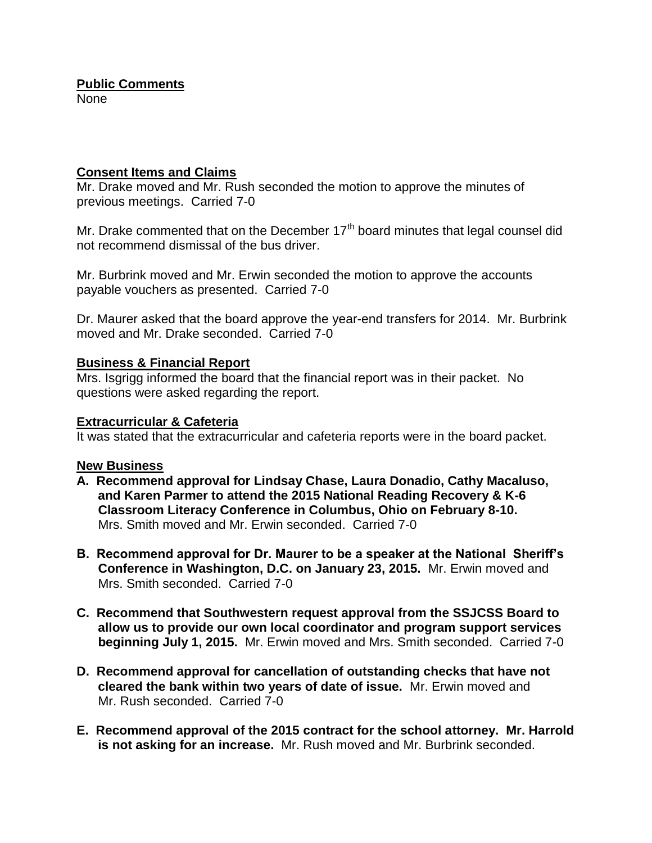### **Public Comments**

None

#### **Consent Items and Claims**

Mr. Drake moved and Mr. Rush seconded the motion to approve the minutes of previous meetings. Carried 7-0

Mr. Drake commented that on the December  $17<sup>th</sup>$  board minutes that legal counsel did not recommend dismissal of the bus driver.

Mr. Burbrink moved and Mr. Erwin seconded the motion to approve the accounts payable vouchers as presented. Carried 7-0

Dr. Maurer asked that the board approve the year-end transfers for 2014. Mr. Burbrink moved and Mr. Drake seconded. Carried 7-0

#### **Business & Financial Report**

Mrs. Isgrigg informed the board that the financial report was in their packet. No questions were asked regarding the report.

#### **Extracurricular & Cafeteria**

It was stated that the extracurricular and cafeteria reports were in the board packet.

#### **New Business**

- **A. Recommend approval for Lindsay Chase, Laura Donadio, Cathy Macaluso, and Karen Parmer to attend the 2015 National Reading Recovery & K-6 Classroom Literacy Conference in Columbus, Ohio on February 8-10.** Mrs. Smith moved and Mr. Erwin seconded. Carried 7-0
- **B. Recommend approval for Dr. Maurer to be a speaker at the National Sheriff's Conference in Washington, D.C. on January 23, 2015.** Mr. Erwin moved and Mrs. Smith seconded. Carried 7-0
- **C. Recommend that Southwestern request approval from the SSJCSS Board to allow us to provide our own local coordinator and program support services beginning July 1, 2015.** Mr. Erwin moved and Mrs. Smith seconded. Carried 7-0
- **D. Recommend approval for cancellation of outstanding checks that have not cleared the bank within two years of date of issue.** Mr. Erwin moved and Mr. Rush seconded. Carried 7-0
- **E. Recommend approval of the 2015 contract for the school attorney. Mr. Harrold is not asking for an increase.** Mr. Rush moved and Mr. Burbrink seconded.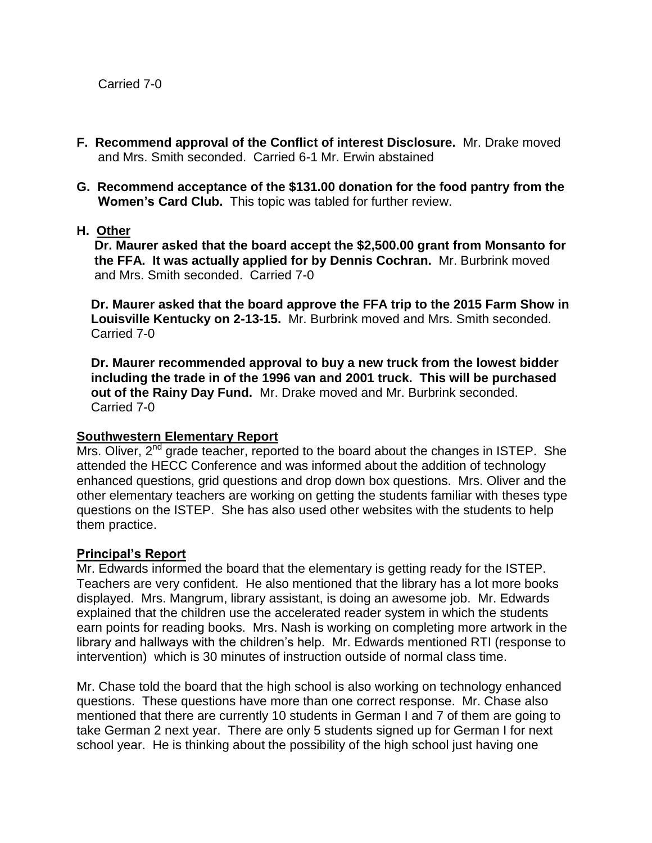- **F. Recommend approval of the Conflict of interest Disclosure.** Mr. Drake moved and Mrs. Smith seconded. Carried 6-1 Mr. Erwin abstained
- **G. Recommend acceptance of the \$131.00 donation for the food pantry from the Women's Card Club.** This topic was tabled for further review.
- **H. Other**

 **Dr. Maurer asked that the board accept the \$2,500.00 grant from Monsanto for the FFA. It was actually applied for by Dennis Cochran.** Mr. Burbrink moved and Mrs. Smith seconded. Carried 7-0

 **Dr. Maurer asked that the board approve the FFA trip to the 2015 Farm Show in Louisville Kentucky on 2-13-15.** Mr. Burbrink moved and Mrs. Smith seconded. Carried 7-0

 **Dr. Maurer recommended approval to buy a new truck from the lowest bidder including the trade in of the 1996 van and 2001 truck. This will be purchased out of the Rainy Day Fund.** Mr. Drake moved and Mr. Burbrink seconded. Carried 7-0

#### **Southwestern Elementary Report**

Mrs. Oliver, 2<sup>nd</sup> grade teacher, reported to the board about the changes in ISTEP. She attended the HECC Conference and was informed about the addition of technology enhanced questions, grid questions and drop down box questions. Mrs. Oliver and the other elementary teachers are working on getting the students familiar with theses type questions on the ISTEP. She has also used other websites with the students to help them practice.

#### **Principal's Report**

Mr. Edwards informed the board that the elementary is getting ready for the ISTEP. Teachers are very confident. He also mentioned that the library has a lot more books displayed. Mrs. Mangrum, library assistant, is doing an awesome job. Mr. Edwards explained that the children use the accelerated reader system in which the students earn points for reading books. Mrs. Nash is working on completing more artwork in the library and hallways with the children's help. Mr. Edwards mentioned RTI (response to intervention) which is 30 minutes of instruction outside of normal class time.

Mr. Chase told the board that the high school is also working on technology enhanced questions. These questions have more than one correct response. Mr. Chase also mentioned that there are currently 10 students in German I and 7 of them are going to take German 2 next year. There are only 5 students signed up for German I for next school year. He is thinking about the possibility of the high school just having one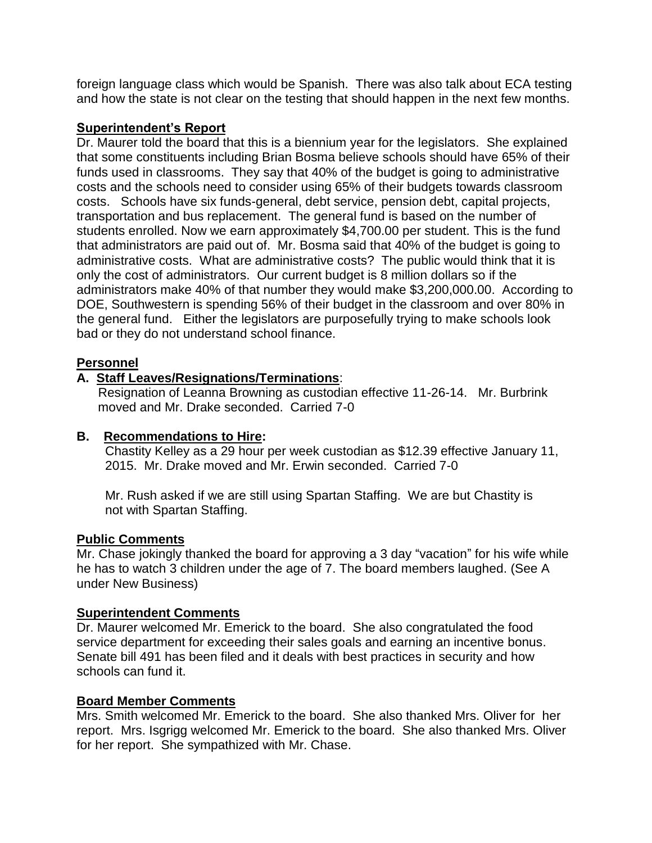foreign language class which would be Spanish. There was also talk about ECA testing and how the state is not clear on the testing that should happen in the next few months.

#### **Superintendent's Report**

Dr. Maurer told the board that this is a biennium year for the legislators. She explained that some constituents including Brian Bosma believe schools should have 65% of their funds used in classrooms. They say that 40% of the budget is going to administrative costs and the schools need to consider using 65% of their budgets towards classroom costs. Schools have six funds-general, debt service, pension debt, capital projects, transportation and bus replacement. The general fund is based on the number of students enrolled. Now we earn approximately \$4,700.00 per student. This is the fund that administrators are paid out of. Mr. Bosma said that 40% of the budget is going to administrative costs. What are administrative costs? The public would think that it is only the cost of administrators. Our current budget is 8 million dollars so if the administrators make 40% of that number they would make \$3,200,000.00. According to DOE, Southwestern is spending 56% of their budget in the classroom and over 80% in the general fund. Either the legislators are purposefully trying to make schools look bad or they do not understand school finance.

### **Personnel**

## **A. Staff Leaves/Resignations/Terminations**:

 Resignation of Leanna Browning as custodian effective 11-26-14. Mr. Burbrink moved and Mr. Drake seconded. Carried 7-0

#### **B. Recommendations to Hire:**

 Chastity Kelley as a 29 hour per week custodian as \$12.39 effective January 11, 2015. Mr. Drake moved and Mr. Erwin seconded. Carried 7-0

 Mr. Rush asked if we are still using Spartan Staffing. We are but Chastity is not with Spartan Staffing.

#### **Public Comments**

Mr. Chase jokingly thanked the board for approving a 3 day "vacation" for his wife while he has to watch 3 children under the age of 7. The board members laughed. (See A under New Business)

#### **Superintendent Comments**

Dr. Maurer welcomed Mr. Emerick to the board. She also congratulated the food service department for exceeding their sales goals and earning an incentive bonus. Senate bill 491 has been filed and it deals with best practices in security and how schools can fund it.

#### **Board Member Comments**

Mrs. Smith welcomed Mr. Emerick to the board. She also thanked Mrs. Oliver for her report. Mrs. Isgrigg welcomed Mr. Emerick to the board. She also thanked Mrs. Oliver for her report. She sympathized with Mr. Chase.